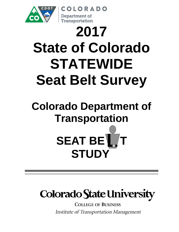

# **2017 State of Colorado STATEWIDE Seat Belt Survey**

OLORADO

Department of Transportation

# **Colorado Department of Transportation SEAT BE STUDY**

# **Colorado State University**

**COLLEGE OF BUSINESS Institute of Transportation Management**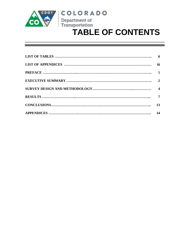

### **COLORADO**

Department of



| iii |
|-----|
|     |
|     |
|     |
|     |
| 13  |
|     |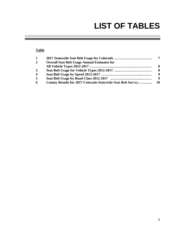### **LIST OF TABLES**

#### **Table**

| 1                       |                                                                    |      |
|-------------------------|--------------------------------------------------------------------|------|
| $\overline{2}$          | <b>Overall Seat Belt Usage Annual Estimates for</b>                |      |
|                         |                                                                    | -8   |
| $\mathbf{3}$            |                                                                    | - 8  |
| $\overline{\mathbf{4}}$ |                                                                    | - 9  |
| $\overline{5}$          |                                                                    | - 9  |
| 6                       | <b>County Results for 2017 Colorado Statewide Seat Belt Survey</b> | - 10 |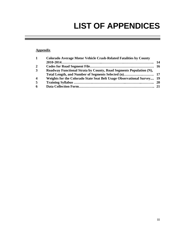# **LIST OF APPENDICES**

#### **Appendix**

| $\mathbf{1}$            | <b>Colorado Average Motor Vehicle Crash-Related Fatalities by County</b> |  |
|-------------------------|--------------------------------------------------------------------------|--|
|                         |                                                                          |  |
| $\overline{2}$          |                                                                          |  |
| $\mathbf{3}$            | Roadway Functional Strata by County, Road Segments Population (N),       |  |
|                         |                                                                          |  |
| $\overline{\mathbf{4}}$ | Weights for the Colorado State Seat Belt Usage Observational Survey 19   |  |
| 5                       |                                                                          |  |
| 6                       |                                                                          |  |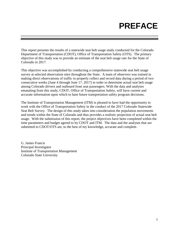## **PREFACE**

This report presents the results of a statewide seat belt usage study conducted for the Colorado Department of Transportation (CDOT), Office of Transportation Safety (OTS). The primary objective of this study was to provide an estimate of the seat belt usage rate for the State of Colorado in 2017.

This objective was accomplished by conducting a comprehensive statewide seat belt usage survey at selected observation sites throughout the State. A team of observers was trained in making direct observations of traffic to properly collect and record data during a period of two consecutive weeks (June 4 through June 17, 2017) in order to determine actual seat belt usage among Colorado drivers and outboard front seat passengers. With the data and analyses emanating from this study, CDOT, Office of Transportation Safety, will have current and accurate information upon which to base future transportation safety program decisions.

The Institute of Transportation Management (ITM) is pleased to have had the opportunity to work with the Office of Transportation Safety in the conduct of the 2017 Colorado Statewide Seat Belt Survey. The design of this study takes into consideration the population movements and trends within the State of Colorado and thus provides a realistic projection of actual seat belt usage. With the submission of this report, the project objectives have been completed within the time parameters and budget agreed to by CDOT and ITM. The data and the analyses that are submitted to CDOT/OTS are, to the best of my knowledge, accurate and complete.

G. James Francis Principal Investigator Institute of Transportation Management Colorado State University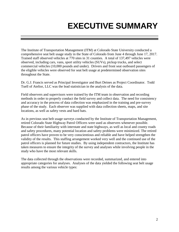# **EXECUTIVE SUMMARY**

The Institute of Transportation Management (ITM) at Colorado State University conducted a comprehensive seat belt usage study in the State of Colorado from June 4 through June 17, 2017. Trained staff observed vehicles at 770 sites in 31 counties. A total of 137,497 vehicles were observed, including cars, vans, sport utility vehicles (SUVs), pickup trucks, and select commercial vehicles (10,000 pounds and under). Drivers and front seat outboard passengers of the eligible vehicles were observed for seat belt usage at predetermined observation sites throughout the State.

Dr. G.J. Francis served as Principal Investigator and Burt Deines as Project Coordinator. Todd Tuell of Atelior, LLC was the lead statistician in the analysis of the data.

Field observers and supervisors were trained by the ITM team in observation and recording methods in order to properly conduct the field survey and collect data. The need for consistency and accuracy in the process of data collection was emphasized in the training and pre-survey phase of the study. Each observer was supplied with data collection sheets, maps, and site locations, as well as safety vests and hard hats.

As in previous seat belt usage surveys conducted by the Institute of Transportation Management, retired Colorado State Highway Patrol Officers were used as observers whenever possible. Because of their familiarity with interstate and state highways, as well as local and county roads and safety procedures, many potential location and safety problems were minimized. The retired patrol officers have proven to be very conscientious and reliable and have helped strengthen the validity of the results. This staffing arrangement worked very well and the continued use of the patrol officers is planned for future studies. By using independent contractors, the Institute has taken measures to ensure the integrity of the survey and analyses while involving people in the study who have the most relevant skills.

The data collected through the observations were recorded, summarized, and entered into appropriate categories for analyses. Analyses of the data yielded the following seat belt usage results among the various vehicle types: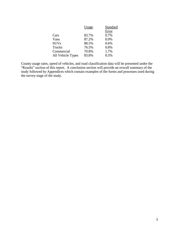|                   | Usage | Standard |
|-------------------|-------|----------|
|                   |       | Error    |
| Cars              | 83.7% | 0.7%     |
| Vans              | 87.2% | 0.9%     |
| <b>SUVs</b>       | 88.5% | 0.6%     |
| Trucks            | 76.5% | 0.8%     |
| Commercial        | 70.8% | 1.7%     |
| All Vehicle Types | 83.8% | 0.5%     |
|                   |       |          |

County usage rates, speed of vehicles, and road classification data will be presented under the "Results" section of this report. A conclusion section will provide an overall summary of the study followed by Appendices which contain examples of the forms and processes used during the survey stage of the study.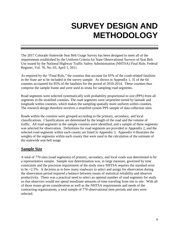### **SURVEY DESIGN AND METHODOLOGY**

The 2017 Colorado Statewide Seat Belt Usage Survey has been designed to meet all of the requirements established by the Uniform Criteria for State Observational Surveys of Seat Belt Use issued by the National Highway Traffic Safety Administration (NHTSA) Final Rule, Federal Register, Vol. 76, No. 63, April 1, 2011.

As required by the "Final Rule," the counties that account for 85% of the crash-related fatalities in the State are to be included in the survey sample. As shown in Appendix 1, 31 of the 64 counties accounted for 85% of the fatalities for the period of 2010-2014. These counties thus comprise the sample frame and were used as strata for sampling road segments.

Road segments were selected systematically with probability proportional to size (PPS) from all segments in the stratified counties. The road segments were serpentine sorted by latitude and longitude within counties, which makes the sampling spatially more uniform within counties. The research design therefore involves a stratified system PPS sample of data collection sites.

Roads within the counties were grouped according to the primary, secondary, and local classifications. Classifications are determined by the length of the road and the volume of traffic. All road segments in the sample counties were identified, and a sample of these segments was selected for observation. Definitions for road segments are provided in Appendix 2, and the selected road segments within each county are listed in Appendix 3. Appendix 4 illustrates the weights of the segments within each county that were used in the calculation of the estimate of the statewide seat belt usage

#### **Sample Size**

A total of 770 sites (road segments) of primary, secondary, and local roads was determined to be a representative sample. Sample size determination was, in large measure, governed by time constraints and the precision requirement of the study since NHTSA requires the standard error to be <2.5%. A decision as to how many roadways to select and assign for observation during the observation period required a balance between issues of statistical reliability and observer productivity. There was a practical need to select an optimal number of road segments for study so that observers would not spend inordinate amounts of time traveling from site to site. With all of those issues given consideration as well as the NHTSA requirements and needs of the contracting organizations, a total sample of 770 observational time periods and sites were selected.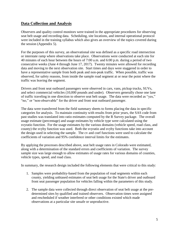#### **Data Collection and Analysis**

Observers and quality control monitors were trained in the appropriate procedures for observing seat belt usage and recording data. Scheduling, site locations, and internal operational protocol were included in the training syllabus which also gives an overview of the topics covered during the session (Appendix 5).

For the purposes of this survey, an observational site was defined as a specific road intersection or interstate ramp where observations take place. Observations were conducted at each site for 40 minutes of each hour between the hours of 7:00 a.m. and 6:00 p.m. during a period of two consecutive weeks (June 4 through June 17, 2017). Twenty minutes were allowed for recording data and moving to the next observation site. Start times and days were staggered in order to have a representative sample from both peak and non-peak traffic. When possible, traffic was observed, for safety reasons, from inside the sample road segment at or near the point where the traffic was leaving the segment.

Drivers and front seat outboard passengers were observed in cars, vans, pickup trucks, SUVs, and select commercial vehicles (10,000 pounds and under). Observers generally chose one lane of traffic traveling in one direction to observe seat belt usage. The data were recorded as "yes," "no," or "non-observable" for the driver and front seat outboard passenger.

The data were transferred from the field summary sheets to forms placing the data in specific categories for analysis. To maintain continuity with results from prior years, the SAS code from past studies was translated into ratio estimates computed by the R Survey package. The overall usage estimate (percentage) and usage estimates by vehicle type were calculated using the svyratio function. For the usage estimates by the various domains (vehicle speed, road class, and county) the svyby function was used. Both the svyratio and svyby functions take into account the design used in selecting the sample. The cv and coef functions were used to calculate the coefficients of variation and 95% confidence interval limits for the estimates.

By applying the processes described above, seat belt usage rates in Colorado were estimated, along with a determination of the standard errors and coefficients of variation. The survey sample size was large enough to allow estimates of usage rates for various domains of counties, vehicle types, speed, and road class.

In summary, the research design included the following elements that were critical to this study:

- 1. Samples were probability-based from the population of road segments within each county, yielding unbiased estimates of seat belt usage for the State's driver and outboard front seat passenger population for vehicles falling within the parameters of this study.
- 2. The sample data were collected through direct observation of seat belt usage at the predetermined sites by qualified and trained observers. Observation times were assigned and rescheduled if weather interfered or other conditions existed which made observations at a particular site unsafe or unproductive.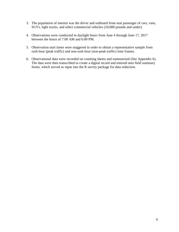- 3. The population of interest was the driver and outboard front seat passenger of cars, vans, SUVs, light trucks, and select commercial vehicles (10,000 pounds and under).
- 4. Observations were conducted in daylight hours from June 4 through June 17, 2017 between the hours of 7:00 AM and 6:00 PM.
- 5. Observation start times were staggered in order to obtain a representative sample from rush hour (peak traffic) and non-rush hour (non-peak traffic) time frames.
- 6. Observational data were recorded on counting sheets and summarized (See Appendix 6). The data were then transcribed to create a digital record and entered onto field summary forms, which served as input into the R survey package for data reduction.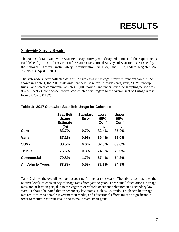## **RESULTS**

#### **Statewide Survey Results**

The 2017 Colorado Statewide Seat Belt Usage Survey was designed to meet all the requirements established by the Uniform Criteria for State Observational Surveys of Seat Belt Use issued by the National Highway Traffic Safety Administration (NHTSA) Final Rule, Federal Register, Vol. 76, No. 63, April 1, 2011.

The statewide survey collected data at 770 sites as a multistage, stratified, random sample. As shown in Table 1, the 2017 statewide seat belt usage for Colorado (cars, vans, SUVs, pickup trucks, and select commercial vehicles 10,000 pounds and under) over the sampling period was 83.8%. A 95% confidence interval constructed with regard to the overall seat belt usage rate is from 82.7% to 84.9%.

|                          | <b>Seat Belt</b> | <b>Standard</b> | Lower | <b>Upper</b> |
|--------------------------|------------------|-----------------|-------|--------------|
|                          | <b>Usage</b>     | Error           | 95%   | 95%          |
|                          | <b>Estimate</b>  |                 | Conf  | Conf         |
|                          | (%)              |                 | Int   | Int          |
| <b>Cars</b>              | 83.7%            | 0.7%            | 82.4% | 85.0%        |
| <b>Vans</b>              | 87.2%            | 0.9%            | 85.4% | 89.0%        |
| <b>SUVs</b>              | 88.5%            | 0.6%            | 87.3% | 89.6%        |
| <b>Trucks</b>            | 76.5%            | 0.8%            | 74.9% | 78.0%        |
| <b>Commercial</b>        | 70.8%            | 1.7%            | 67.4% | 74.2%        |
| <b>All Vehicle Types</b> | 83.8%            | 0.5%            | 82.7% | 84.9%        |

#### **Table 1: 2017 Statewide Seat Belt Usage for Colorado**

Table 2 shows the overall seat belt usage rate for the past six years. The table also illustrates the relative levels of consistency of usage rates from year to year. These small fluctuations in usage rates are, at least in part, due to the vagaries of vehicle occupant behaviors in a secondary law state. It should be noted that in secondary law states, such as Colorado, a high seat belt usage rate requires considerable investment in media, and educational efforts must be significant in order to maintain current levels and to make even small gains.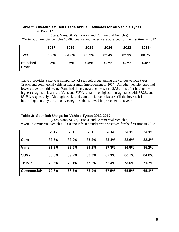#### **Table 2: Overall Seat Belt Usage Annual Estimates for All Vehicle Types 2012-2017**

**(**Cars, Vans, SUVs, Trucks, and Commercial Vehicles) \*Note: Commercial vehicles 10,000 pounds and under were observed for the first time in 2012.

|                          | 2017  | 2016  | 2015  | 2014  | 2013  | 2012* |
|--------------------------|-------|-------|-------|-------|-------|-------|
| <b>Total</b>             | 83.8% | 84.0% | 85.2% | 82.4% | 82.1% | 80.7% |
| <b>Standard</b><br>Error | 0.5%  | 0.6%  | 0.5%  | 0.7%  | 0.7%  | 0.6%  |

Table 3 provides a six-year comparison of seat belt usage among the various vehicle types. Trucks and commercial vehicles had a small improvement in 2017. All other vehicle types had lower usage rates this year. Vans had the greatest decline with a 2.3% drop after having the highest usage rate last year. Vans and SUVs remain the highest in usage rates with 87.2% and 88.5%, respectively. Although trucks and commercial vehicles are still the lowest, it is interesting that they are the only categories that showed improvement this year.

#### **Table 3: Seat Belt Usage for Vehicle Types 2012-2017**

**(**Cars, Vans, SUVs, Trucks, and Commercial Vehicles) \*Note: Commercial vehicles 10,000 pounds and under were observed for the first time in 2012.

|               | 2017  | 2016  | 2015  | 2014  | 2013  | 2012  |
|---------------|-------|-------|-------|-------|-------|-------|
| Cars          | 83.7% | 83.9% | 85.2% | 83.1% | 82.6% | 82.3% |
| <b>Vans</b>   | 87.2% | 89.5% | 89.2% | 87.3% | 86.9% | 85.2% |
| <b>SUVs</b>   | 88.5% | 89.2% | 89.9% | 87.1% | 86.7% | 84.6% |
| <b>Trucks</b> | 76.5% | 76.1% | 77.6% | 72.4% | 73.0% | 71.7% |
| Commercial*   | 70.8% | 68.2% | 73.9% | 67.5% | 65.5% | 65.1% |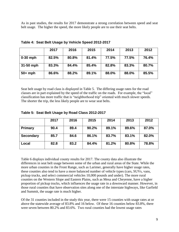As in past studies, the results for 2017 demonstrate a strong correlation between speed and seat belt usage. The higher the speed, the more likely people are to use their seat belts.

|            | 2017  | 2016  | 2015  | 2014  | 2013  | 2012  |
|------------|-------|-------|-------|-------|-------|-------|
| $0-30$ mph | 82.5% | 80.8% | 81.4% | 77.5% | 77.5% | 76.4% |
| 31-50 mph  | 83.3% | 84.4% | 85.4% | 82.8% | 83.3% | 80.7% |
| $50+mph$   | 86.6% | 88.2% | 89.1% | 88.0% | 88.0% | 85.5% |

|  |  | Table 4: Seat Belt Usage by Vehicle Speed 2012-2017 |
|--|--|-----------------------------------------------------|
|  |  |                                                     |

Seat belt usage by road class is displayed in Table 5. The differing usage rates for the road classes are in part explained by the speed of the traffic on the roads. For example, the "local" classification has more traffic that is "neighborhood trip" oriented with much slower speeds. The shorter the trip, the less likely people are to wear seat belts.

|                  | 2017 | 2016 | 2015  | 2014  | 2013  | 2012  |
|------------------|------|------|-------|-------|-------|-------|
| <b>Primary</b>   | 90.4 | 89.4 | 90.2% | 89.1% | 89.6% | 87.0% |
| <b>Secondary</b> | 85.7 | 84.6 | 86.1% | 83.7% | 83.1% | 82.0% |
| Local            | 82.8 | 83.2 | 84.4% | 81.2% | 80.8% | 78.8% |

Table 6 displays individual county results for 2017. The county data also illustrate the differences in seat belt usage between some of the urban and rural areas of the State. While the more urban counties in the Front Range, such as Larimer, generally have higher usage rates, these counties also tend to have a more balanced number of vehicle types (cars, SUVs, vans, pickup trucks, and select commercial vehicles 10,000 pounds and under). The more rural counties on the Western Slope and Eastern Plains, such as Mesa and Cheyenne, have a higher proportion of pickup trucks, which influences the usage rate in a downward manner. However, in those rural counties that have observation sites along one of the interstate highways, like Garfield and Summit, the usage rate is much higher.

Of the 31 counties included in the study this year, there were 15 counties with usage rates at or above the statewide average of 83.8% and 16 below. Of these 16 counties below 83.8%, there were seven between 80.2% and 83.6%. Two rural counties had the lowest usage rates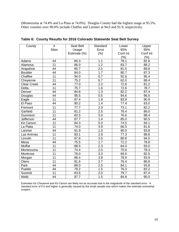(Montezuma at 74.4% and La Plata at 74.0%). Douglas County had the highest usage at 95.5%. Other counties over 90.0% include Chaffee and Larimer at 94.0 and 91.9, respectively.

| County             | #               | <b>Seat Belt</b> | Standard         | Lower    | Upper    |
|--------------------|-----------------|------------------|------------------|----------|----------|
|                    | <b>Sites</b>    | Usage            | Error            | 95%      | 95%      |
|                    |                 | Estimate (%)     | $(\%)$           | Conf Int | Conf Int |
|                    |                 |                  |                  | (%)      | (%)      |
| Adams              | 44              | 80.3             | 1.1              | 78.1     | 82.6     |
| Alamosa            | 11              | 86.0             | $\overline{1.2}$ | 83.7     | 88.2     |
| Arapahoe           | 44              | 85.7             | $\overline{2.1}$ | 81.5     | 89.8     |
| <b>Boulder</b>     | 44              | 84.0             | 1.7              | 80.7     | 87.3     |
| Chaffee            | 11              | 94.0             | 0.7              | 92.6     | 95.4     |
| Cheyenne           | 11              | 75.2             | 6.7              | 62.0     | 88.4     |
| <b>Clear Creek</b> | 44              | 77.0             | 2.2              | 72.8     | 81.2     |
| <b>Delta</b>       | 11              | 75.7             | 1.6              | 72.6     | 78.7     |
| Denver             | 44              | 84.8             | 1.3              | 82.2     | 87.4     |
| Douglas            | 44              | 95.5             | 0.5              | 94.6     | 96.5     |
| Eagle              | 11              | 87.4             | 1.8              | 83.9     | 90.9     |
| El Paso            | 44              | 80.2             | 1.4              | 77.4     | 83.0     |
| Fremont            | 11              | 77.7             | 2.3              | 73.1     | 82.2     |
| Garfield           | 11              | 81.2             | 2.5              | 76.4     | 86.0     |
| Gunnison           | 11              | 82.5             | 3.0              | 76.6     | 88.4     |
| Jefferson          | 44              | 87.7             | 1.4              | 85.0     | 90.5     |
| <b>Kit Carson</b>  | 11              | 84.3             | 5.0              | 74.5     | 94.1     |
| La Plata           | 11              | 74.0             | 3.9              | 66.5     | 81.6     |
| Larimer            | 44              | 91.9             | 1.0              | 90.0     | 93.8     |
| Las Animas         | $\overline{11}$ | 83.1             | 2.9              | 77.3     | 88.8     |
| Lincoln            | 11              | 87.6             | 3.5              | 80.8     | 94.5     |
| Mesa               | 44              | 75.5             | 1.7              | 72.2     | 78.8     |
| Moffat             | 11              | 88.5             | 2.3              | 84.0     | 93.0     |
| Montezuma          | 11              | 74.4             | $\overline{2.0}$ | 70.6     | 78.3     |
| Montrose           | 11              | 76.0             | 3.3              | 69.5     | 82.5     |
| Morgan             | 11              | 86.4             | 3.8              | 78.9     | 93.9     |
| Otero              | 11              | 81.6             | 2.7              | 76.4     | 86.8     |
| Park               | 44              | 89.0             | 2.5              | 84.1     | 93.8     |
| Pueblo             | 44              | 79.2             | 1.5              | 76.3     | 82.2     |
| Summit             | 11              | 83.6             | 2.0              | 79.7     | 87.4     |
| Weld               | 44              | 87.7             | 1.5              | 84.8     | 90.5     |

**Table 6: County Results for 2016 Colorado Statewide Seat Belt Survey**

Estimates for Cheyenne and Kit Carson are likely not as accurate due to the magnitude of the standard error. A standard error of 5.0 and higher is generally caused by the small sample size which makes the estimate somewhat suspect..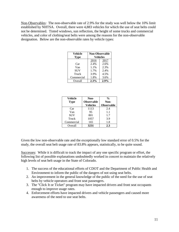Non-Observables: The non-observable rate of 2.9% for the study was well below the 10% limit established by NHTSA. Overall, there were 4,883 vehicles for which the use of seat belts could not be determined. Tinted windows, sun reflection, the height of some trucks and commercial vehicles, and color of clothing/seat belts were among the reasons for the non-observable designation. Below are the non-observable rates by vehicle types:

| Vehicle<br><b>Type</b> | <b>Non-Observable</b> | <b>Vehicles</b> |
|------------------------|-----------------------|-----------------|
|                        | 2016                  | 2017            |
| Car                    | 2.4%                  | 2.6%            |
| Van                    | 1.1%                  | 2.3%            |
| <b>SUV</b>             | 1.7%                  | 2.4%            |
| Truck                  | 3.9%                  | 4.5%            |
| Commercial             | 1.8%                  | 3.6%            |
| Overall                | 2.3%                  | 2.9%            |

| <b>Vehicle</b> | Non-              | $\frac{0}{0}$     |  |  |
|----------------|-------------------|-------------------|--|--|
| <b>Type</b>    | <b>Observable</b> | Non-              |  |  |
|                | <b>Vehicles</b>   | <b>Observable</b> |  |  |
| Car            | 1113              | 2.4               |  |  |
| Van            | 95                | 1.1               |  |  |
| <b>SUV</b>     | 801               | 1.7               |  |  |
| Truck          | 1057              | 3.9               |  |  |
| Commercial     | 165               | 1.8               |  |  |
| Overall        | 3231              | 2.3               |  |  |

Given the low non-observable rate and the exceptionally low standard error of 0.5% for the study, the overall seat belt usage rate of 83.8% appears, statistically, to be quite sound.

Successes: While it is difficult to track the impact of any one specific program or effort, the following list of possible explanations undoubtedly worked in concert to maintain the relatively high levels of seat belt usage in the State of Colorado.

- 1. The success of the educational efforts of CDOT and the Department of Public Health and Environment to inform the public of the dangers of not using seat belts.
- 2. An improvement in the general knowledge of the public of the need for the use of seat belts by vehicle operators and front seat passengers.
- 3. The "Click It or Ticket" program may have impacted drivers and front seat occupants enough to improve usage rates.
- 4. Enforcement efforts have impacted drivers and vehicle passengers and caused more awareness of the need to use seat belts.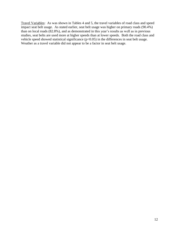Travel Variables: As was shown in Tables 4 and 5, the travel variables of road class and speed impact seat belt usage. As stated earlier, seat belt usage was higher on primary roads (90.4%) than on local roads (82.8%), and as demonstrated in this year's results as well as in previous studies, seat belts are used more at higher speeds than at lower speeds. Both the road class and vehicle speed showed statistical significance (p<0.05) in the differences in seat belt usage. Weather as a travel variable did not appear to be a factor in seat belt usage.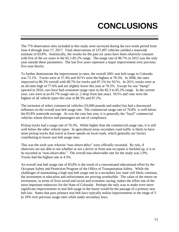## **CONCLUSIONS**

The 770 observation sites included in this study were surveyed during the two-week period from June 4 through June 17, 2017. Total observations of 137,497 vehicles yielded a statewide estimate of 83.8%. Statistically, the results for the past six years have been relatively constant with five of the six years in the 82.1-85.2% range. The usage rate of 80.7% in 2012 was the only year outside these parameters. The last five years represent a major improvement over previous five-year blocks.

To further demonstrate the improvement in rates, the overall 2001 seat belt usage in Colorado was 72.1%. Trucks were at 57.4% and SUVs were the highest at 78.3%. In 2006, the rates improved to 80.3% overall with 68.7% for trucks and 87.1% for SUVs. In 2015, trucks were at an all-time high of 77.6% and are slightly lower this year at 76.5%. Except for one "bump" upward in 2010, cars have had consistent usage rates in the 82.3 to 85.2% range. In the current year, cars were at an 83.7% usage rate (a .2 drop from last year). SUVs and vans were the highest of all vehicle types this year at 88.5% and 87.2%.

The inclusion of select commercial vehicles (10,000 pounds and under) has had a downward influence on the overall seat belt usage rate. The commercial usage rate of 70.8% is well below the 83.8% statewide average. As was the case last year, it is generally the "local" commercial vehicles whose drivers and passengers are out of compliance.

Pickup trucks had a usage rate of 76.5%. While higher than the commercial usage rate, it is still well below the other vehicle types. In agricultural areas secondary road traffic is likely to have more pickup trucks that travel at lower speeds on local roads, which generally are factors contributing to lower seat belt usage rates.

This was the sixth year wherein "non-observables" were officially recorded. By rule, if observers are not able to see whether or not a driver or front seat occupant is buckled up, it is to be recorded as "non-observable." The overall non-observable rate for the study was 2.9%. Trucks had the highest rate at 4.5%.

An overall seat belt usage rate of 83.8% is the result of a concentrated educational effort by the Occupant Safety and Protection Program of the Office of Transportation Safety. While the challenges of maintaining a high seat belt usage rate in a secondary law state will likely continue, the investment in education and enforcement are proving worthwhile. The value of the return on investment, in terms of lives saved and social and economic saving, makes the effort one of the most important endeavors for the State of Colorado. Perhaps the only way to make even more significant improvements in seat belt usage in the future would be the passage of a primary seat belt law. States that pass primary seat belt laws typically realize improvements in the range of 5 to 10% over previous usage rates while under secondary laws.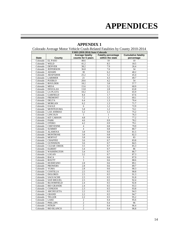### **APPENDICES**

| Colorado Average Motor Vehicle Crash-Related Fatalities by County 2010-2014 |                                                                                                                                                                       |                         |              |            |  |  |  |  |  |  |  |  |
|-----------------------------------------------------------------------------|-----------------------------------------------------------------------------------------------------------------------------------------------------------------------|-------------------------|--------------|------------|--|--|--|--|--|--|--|--|
| FARS (2010-2014) State=Colorado                                             |                                                                                                                                                                       |                         |              |            |  |  |  |  |  |  |  |  |
|                                                                             | <b>Cumulative fatality</b><br><b>Average fatality</b><br><b>Fatality percentage</b><br>within the state<br><b>State</b><br>County<br>counts for 5 years<br>percentage |                         |              |            |  |  |  |  |  |  |  |  |
|                                                                             |                                                                                                                                                                       |                         |              |            |  |  |  |  |  |  |  |  |
| Colorado                                                                    | <b>EL PASO</b>                                                                                                                                                        | 48.6                    | 10           | 10         |  |  |  |  |  |  |  |  |
| Colorado                                                                    | <b>WELD</b>                                                                                                                                                           | 41.2                    | 8.5          | 18.5       |  |  |  |  |  |  |  |  |
| Colorado                                                                    | <b>DENVER</b>                                                                                                                                                         | 38.2                    | 7.9          | 26.4       |  |  |  |  |  |  |  |  |
| Colorado                                                                    | <b>JEFFERSON</b>                                                                                                                                                      | 36.8                    | 7.6          | 34         |  |  |  |  |  |  |  |  |
| Colorado                                                                    | <b>ADAMS</b>                                                                                                                                                          | 30                      | 6.2          | 40.2       |  |  |  |  |  |  |  |  |
| Colorado                                                                    | <b>ARAPAHOE</b>                                                                                                                                                       | 25.2                    | 5.2          | 45.4       |  |  |  |  |  |  |  |  |
| Colorado                                                                    | <b>LARIMER</b>                                                                                                                                                        | $21\,$                  | 4.3          | 49.7       |  |  |  |  |  |  |  |  |
| Colorado                                                                    | <b>PUEBLO</b>                                                                                                                                                         | 20.6                    | 4.2          | 54         |  |  |  |  |  |  |  |  |
| Colorado                                                                    | <b>BOULDER</b>                                                                                                                                                        | 18.2                    | 3.8          | 57.7       |  |  |  |  |  |  |  |  |
| Colorado                                                                    | <b>MESA</b>                                                                                                                                                           | 15.6                    | 3.2          | 60.9       |  |  |  |  |  |  |  |  |
| Colorado                                                                    | <b>DOUGLAS</b>                                                                                                                                                        | 13.8                    | 2.8          | 63.8       |  |  |  |  |  |  |  |  |
| Colorado                                                                    | <b>LA PLATA</b>                                                                                                                                                       | 10.2                    | 2.1          | 65.9       |  |  |  |  |  |  |  |  |
| Colorado                                                                    | <b>GARFIELD</b>                                                                                                                                                       | 8.4                     | 1.7          | 67.6       |  |  |  |  |  |  |  |  |
| Colorado                                                                    | <b>FREMONT</b>                                                                                                                                                        | 7.2                     | 1.5          | 69.1       |  |  |  |  |  |  |  |  |
| Colorado                                                                    | <b>DELTA</b>                                                                                                                                                          | 6.4                     | 1.3          | 70.4       |  |  |  |  |  |  |  |  |
| Colorado                                                                    | <b>MORGAN</b>                                                                                                                                                         | 6.2                     | 1.3          | 71.7       |  |  |  |  |  |  |  |  |
| Colorado                                                                    | <b>EAGLE</b>                                                                                                                                                          | 6                       | 1.2          | 72.9       |  |  |  |  |  |  |  |  |
| Colorado                                                                    | <b>MONTEZUMA</b>                                                                                                                                                      | 5.8                     | 1.2          | 74.1       |  |  |  |  |  |  |  |  |
| Colorado                                                                    | <b>LAS ANIMAS</b>                                                                                                                                                     | 5.2                     | 1.1          | 75.2       |  |  |  |  |  |  |  |  |
| Colorado                                                                    | <b>LINCOLN</b>                                                                                                                                                        | $\sqrt{5}$              | $\mathbf{1}$ | 76.3       |  |  |  |  |  |  |  |  |
| Colorado                                                                    | <b>KIT CARSON</b>                                                                                                                                                     | 4.8                     | $\mathbf{1}$ | 77.2       |  |  |  |  |  |  |  |  |
| Colorado                                                                    | <b>PARK</b>                                                                                                                                                           | 4.6                     | 0.9          | 78.2       |  |  |  |  |  |  |  |  |
| Colorado                                                                    | <b>OTERO</b>                                                                                                                                                          | 4.2                     | 0.9          | 79.1       |  |  |  |  |  |  |  |  |
| Colorado                                                                    | <b>CHEYENNE</b>                                                                                                                                                       | $\overline{4}$          | 0.8          | 79.9       |  |  |  |  |  |  |  |  |
| Colorado                                                                    | <b>SUMMIT</b>                                                                                                                                                         | $\overline{4}$          | 0.8          | 80.7       |  |  |  |  |  |  |  |  |
| Colorado                                                                    | <b>ALAMOSA</b>                                                                                                                                                        | 3.8                     | 0.8<br>0.8   | 81.5       |  |  |  |  |  |  |  |  |
| Colorado<br>Colorado                                                        | <b>MONTROSE</b><br><b>MOFFAT</b>                                                                                                                                      | 3.8<br>3.8              | 0.8          | 82.3<br>83 |  |  |  |  |  |  |  |  |
|                                                                             | <b>CHAFFEE</b>                                                                                                                                                        | $\overline{3.6}$        | 0.7          | 83.8       |  |  |  |  |  |  |  |  |
| Colorado<br>Colorado                                                        | <b>GUNNISON</b>                                                                                                                                                       | 3.6                     | 0.7          | 84.5       |  |  |  |  |  |  |  |  |
| Colorado                                                                    | <b>CLEAR CREEK</b>                                                                                                                                                    | 3.5                     | 0.7          | 85.3       |  |  |  |  |  |  |  |  |
| Colorado                                                                    | <b>ELBERT</b>                                                                                                                                                         | 3.4                     | 0.7          | 86         |  |  |  |  |  |  |  |  |
| Colorado                                                                    | <b>WASHINGTON</b>                                                                                                                                                     | 3.4                     | 0.7          | 86.7       |  |  |  |  |  |  |  |  |
| Colorado                                                                    | <b>LOGAN</b>                                                                                                                                                          | 3.2                     | 0.7          | 87.3       |  |  |  |  |  |  |  |  |
| Colorado                                                                    | <b>BACA</b>                                                                                                                                                           | $\overline{3}$          | 0.6          | 87.9       |  |  |  |  |  |  |  |  |
| Colorado                                                                    | <b>ROUTT</b>                                                                                                                                                          | $\overline{\mathbf{3}}$ | 0.6          | 88.6       |  |  |  |  |  |  |  |  |
| Colorado                                                                    | <b>HUERFANO</b>                                                                                                                                                       | 2.8                     | 0.6          | 89.1       |  |  |  |  |  |  |  |  |
| Colorado                                                                    | <b>PROWERS</b>                                                                                                                                                        | 2.8                     | 0.6          | 89.7       |  |  |  |  |  |  |  |  |
| Colorado                                                                    | <b>YUMA</b>                                                                                                                                                           | 2.8                     | 0.6          | 90.3       |  |  |  |  |  |  |  |  |
| Colorado                                                                    | <b>COSTILLA</b>                                                                                                                                                       | 2.5                     | 0.5          | 90.8       |  |  |  |  |  |  |  |  |
| Colorado                                                                    | <b>DOLORES</b>                                                                                                                                                        | 2.5                     | 0.5          | 91.3       |  |  |  |  |  |  |  |  |
| Colorado                                                                    | <b>SAGUACHE</b>                                                                                                                                                       | 2.5                     | 0.5          | 91.8       |  |  |  |  |  |  |  |  |
| Colorado                                                                    | <b>SAN MIGUEL</b>                                                                                                                                                     | 2.5                     | 0.5          | 92.4       |  |  |  |  |  |  |  |  |
| Colorado                                                                    | <b>BLOOMFIELD</b>                                                                                                                                                     | 2.4                     | 0.5          | 92.8       |  |  |  |  |  |  |  |  |
| Colorado                                                                    | <b>RIO GRANDE</b>                                                                                                                                                     | 2.4                     | 0.5          | 93.3       |  |  |  |  |  |  |  |  |
| Colorado                                                                    | <b>CONEJOS</b>                                                                                                                                                        | 2.3                     | 0.5          | 93.8       |  |  |  |  |  |  |  |  |
| Colorado                                                                    | <b>ARCHULETA</b>                                                                                                                                                      | 2.2                     | 0.5          | 94.3       |  |  |  |  |  |  |  |  |
| Colorado                                                                    | <b>GRAND</b>                                                                                                                                                          | 2.2                     | 0.5          | 94.7       |  |  |  |  |  |  |  |  |
| Colorado                                                                    | <b>TELLER</b>                                                                                                                                                         | 2.2                     | 0.5          | 95.2       |  |  |  |  |  |  |  |  |
| Colorado                                                                    | LAKE                                                                                                                                                                  | 2                       | 0.4          | 95.6       |  |  |  |  |  |  |  |  |
| Colorado                                                                    | <b>PHILLIPS</b>                                                                                                                                                       | $\overline{2}$          | 0.4          | 96         |  |  |  |  |  |  |  |  |
| Colorado                                                                    | <b>PITKIN</b>                                                                                                                                                         | $\mathbf{2}$            | 0.4          | 96.4       |  |  |  |  |  |  |  |  |
| Colorado                                                                    | <b>RIO BLANCO</b>                                                                                                                                                     | $\overline{2}$          | 0.4          | 96.8       |  |  |  |  |  |  |  |  |

### **APPENDIX 1**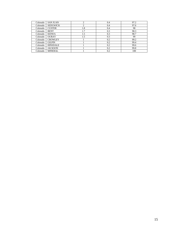| Colorado | <b>SAN JUAN</b> |     | 0.4 | 97.2 |
|----------|-----------------|-----|-----|------|
| Colorado | <b>SEDGWICK</b> |     | 0.4 | 97.6 |
| Colorado | <b>CUSTER</b>   | 1.8 | 0.4 | 98   |
| Colorado | <b>BENT</b>     | 1.7 | 0.3 | 98.3 |
| Colorado | <b>KIOWA</b>    | 1.5 | 0.3 | 98.7 |
| Colorado | <b>OURAY</b>    | 1.5 | 0.3 | 99   |
| Colorado | <b>CROWLEY</b>  |     | 0.2 | 99.2 |
| Colorado | <b>GILPIN</b>   |     | 0.2 | 99.4 |
| Colorado | <b>HINSDALE</b> |     | 0.2 | 99.6 |
| Colorado | <b>JACKSON</b>  |     | 0.2 | 99.8 |
| Colorado | <b>MINERAL</b>  |     | 0.2 | 100  |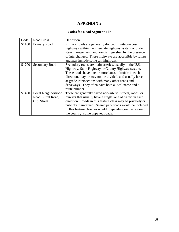#### **Codes for Road Segment File**

| Code              | <b>Road Class</b>  | Definition                                                  |
|-------------------|--------------------|-------------------------------------------------------------|
| S <sub>1100</sub> | Primary Road       | Primary roads are generally divided, limited-access         |
|                   |                    | highways within the interstate highway system or under      |
|                   |                    | state management, and are distinguished by the presence     |
|                   |                    | of interchanges. These highways are accessible by ramps     |
|                   |                    | and may include some toll highways.                         |
| S <sub>1200</sub> | Secondary Road     | Secondary roads are main arteries, usually in the U.S.      |
|                   |                    | Highway, State Highway or County Highway system.            |
|                   |                    | These roads have one or more lanes of traffic in each       |
|                   |                    | direction, may or may not be divided, and usually have      |
|                   |                    | at-grade intersections with many other roads and            |
|                   |                    | driveways. They often have both a local name and a          |
|                   |                    | route number.                                               |
| S <sub>1400</sub> | Local Neighborhood | These are generally paved non-arterial streets, roads, or   |
|                   | Road, Rural Road,  | byways that usually have a single lane of traffic in each   |
|                   | <b>City Street</b> | direction. Roads in this feature class may be privately or  |
|                   |                    | publicly maintained. Scenic park roads would be included    |
|                   |                    | in this feature class, as would (depending on the region of |
|                   |                    | the country) some unpaved roads.                            |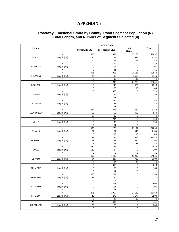#### **Roadway Functional Strata by County, Road Segment Population (N), Total Length, and Number of Segments Selected (n)**

| County             |                                                                                    | <b>MTFCC Code</b><br>Local:<br>Total<br>Primary: S1100<br>Secondary: S1200<br>S1400<br>1574<br>27168<br>895<br>130<br>177<br>2945<br>10<br>17<br>17<br>319<br>0<br>0<br>$\mathbf 0$<br>95<br>$\mathbf 0$<br>$\mathbf 0$<br>11<br>0<br>351<br>1008<br>28185<br>83<br>113<br>2560<br>5<br>16<br>23<br>$\mathbf 0$<br>21288<br>1943<br>$\boldsymbol{0}$<br>243<br>1975<br>$\mathbf 0$<br>26<br>18<br>$\mathbf 0$<br>520<br>$\mathbf 0$<br>$\mathbf 0$<br>96<br>0<br>0<br>11<br>0<br>0<br>267<br>0<br>0<br>$\mathbf 0$<br>133<br>0<br>0<br>11<br>284<br>278<br>2780<br>66<br>65<br>409<br>17<br>19<br>8<br>$\mathbf 0$<br>734<br>0<br>0<br>136<br>0<br>$\mathbf 0$<br>11<br>$\mathbf 0$<br>1226<br>636<br>25194<br>62<br>101<br>1940<br>8<br>18<br>18<br>231<br>744<br>17995<br>63<br>129<br>2070<br>6<br>15<br>23<br>479<br>533<br>0<br>120<br>87<br>0<br>6<br>5<br>0<br>409<br>1498<br>52918<br>94<br>227<br>4788<br>5<br>14<br>25<br>$\mathbf 0$<br>810<br>0<br>$\mathbf 0$<br>165<br>0<br>0<br>11<br>0<br>0<br>490<br>799<br>131<br>140<br>0<br>$\overline{7}$<br>$\mathbf 0$<br>$\overline{a}$<br>0<br>696<br>0<br>0<br>0<br>191<br>$\mathbf 0$<br>$\pmb{0}$<br>11 |      |             |       |
|--------------------|------------------------------------------------------------------------------------|---------------------------------------------------------------------------------------------------------------------------------------------------------------------------------------------------------------------------------------------------------------------------------------------------------------------------------------------------------------------------------------------------------------------------------------------------------------------------------------------------------------------------------------------------------------------------------------------------------------------------------------------------------------------------------------------------------------------------------------------------------------------------------------------------------------------------------------------------------------------------------------------------------------------------------------------------------------------------------------------------------------------------------------------------------------------------------------------------------------------------------------------------------------------|------|-------------|-------|
|                    | N                                                                                  |                                                                                                                                                                                                                                                                                                                                                                                                                                                                                                                                                                                                                                                                                                                                                                                                                                                                                                                                                                                                                                                                                                                                                                     |      |             | 29637 |
| ADAMS              | Length (mi)                                                                        |                                                                                                                                                                                                                                                                                                                                                                                                                                                                                                                                                                                                                                                                                                                                                                                                                                                                                                                                                                                                                                                                                                                                                                     |      |             | 3252  |
|                    | n                                                                                  |                                                                                                                                                                                                                                                                                                                                                                                                                                                                                                                                                                                                                                                                                                                                                                                                                                                                                                                                                                                                                                                                                                                                                                     |      |             | 44    |
|                    | ${\sf N}$                                                                          |                                                                                                                                                                                                                                                                                                                                                                                                                                                                                                                                                                                                                                                                                                                                                                                                                                                                                                                                                                                                                                                                                                                                                                     |      |             | 319   |
| ALAMOSA            | Length (mi)                                                                        |                                                                                                                                                                                                                                                                                                                                                                                                                                                                                                                                                                                                                                                                                                                                                                                                                                                                                                                                                                                                                                                                                                                                                                     |      |             | 95    |
|                    | $\sf n$                                                                            |                                                                                                                                                                                                                                                                                                                                                                                                                                                                                                                                                                                                                                                                                                                                                                                                                                                                                                                                                                                                                                                                                                                                                                     |      |             | 11    |
|                    | N                                                                                  |                                                                                                                                                                                                                                                                                                                                                                                                                                                                                                                                                                                                                                                                                                                                                                                                                                                                                                                                                                                                                                                                                                                                                                     |      |             | 29544 |
| ARAPAHOE           | Length (mi)                                                                        |                                                                                                                                                                                                                                                                                                                                                                                                                                                                                                                                                                                                                                                                                                                                                                                                                                                                                                                                                                                                                                                                                                                                                                     |      |             | 2756  |
|                    | n                                                                                  |                                                                                                                                                                                                                                                                                                                                                                                                                                                                                                                                                                                                                                                                                                                                                                                                                                                                                                                                                                                                                                                                                                                                                                     |      |             | 44    |
|                    | N                                                                                  |                                                                                                                                                                                                                                                                                                                                                                                                                                                                                                                                                                                                                                                                                                                                                                                                                                                                                                                                                                                                                                                                                                                                                                     |      |             | 23231 |
| <b>BOULDER</b>     | Length (mi)                                                                        |                                                                                                                                                                                                                                                                                                                                                                                                                                                                                                                                                                                                                                                                                                                                                                                                                                                                                                                                                                                                                                                                                                                                                                     |      |             | 2218  |
|                    | n                                                                                  |                                                                                                                                                                                                                                                                                                                                                                                                                                                                                                                                                                                                                                                                                                                                                                                                                                                                                                                                                                                                                                                                                                                                                                     |      |             | 44    |
|                    | N                                                                                  |                                                                                                                                                                                                                                                                                                                                                                                                                                                                                                                                                                                                                                                                                                                                                                                                                                                                                                                                                                                                                                                                                                                                                                     |      |             | 520   |
| <b>CHAFFEE</b>     | Length (mi)                                                                        |                                                                                                                                                                                                                                                                                                                                                                                                                                                                                                                                                                                                                                                                                                                                                                                                                                                                                                                                                                                                                                                                                                                                                                     |      |             | 96    |
|                    | n                                                                                  |                                                                                                                                                                                                                                                                                                                                                                                                                                                                                                                                                                                                                                                                                                                                                                                                                                                                                                                                                                                                                                                                                                                                                                     |      |             | 11    |
|                    | ${\sf N}$                                                                          |                                                                                                                                                                                                                                                                                                                                                                                                                                                                                                                                                                                                                                                                                                                                                                                                                                                                                                                                                                                                                                                                                                                                                                     |      |             | 267   |
| <b>CHEYENNE</b>    | Length (mi)                                                                        |                                                                                                                                                                                                                                                                                                                                                                                                                                                                                                                                                                                                                                                                                                                                                                                                                                                                                                                                                                                                                                                                                                                                                                     |      |             | 133   |
|                    | n                                                                                  |                                                                                                                                                                                                                                                                                                                                                                                                                                                                                                                                                                                                                                                                                                                                                                                                                                                                                                                                                                                                                                                                                                                                                                     |      |             | 11    |
|                    | N                                                                                  |                                                                                                                                                                                                                                                                                                                                                                                                                                                                                                                                                                                                                                                                                                                                                                                                                                                                                                                                                                                                                                                                                                                                                                     |      |             | 3342  |
| <b>CLEAR CREEK</b> | Length (mi)                                                                        |                                                                                                                                                                                                                                                                                                                                                                                                                                                                                                                                                                                                                                                                                                                                                                                                                                                                                                                                                                                                                                                                                                                                                                     |      |             | 540   |
|                    | n                                                                                  |                                                                                                                                                                                                                                                                                                                                                                                                                                                                                                                                                                                                                                                                                                                                                                                                                                                                                                                                                                                                                                                                                                                                                                     |      |             | 44    |
|                    | $\mathsf{N}$                                                                       |                                                                                                                                                                                                                                                                                                                                                                                                                                                                                                                                                                                                                                                                                                                                                                                                                                                                                                                                                                                                                                                                                                                                                                     |      |             | 734   |
| <b>DELTA</b>       |                                                                                    |                                                                                                                                                                                                                                                                                                                                                                                                                                                                                                                                                                                                                                                                                                                                                                                                                                                                                                                                                                                                                                                                                                                                                                     |      |             | 136   |
|                    | n                                                                                  |                                                                                                                                                                                                                                                                                                                                                                                                                                                                                                                                                                                                                                                                                                                                                                                                                                                                                                                                                                                                                                                                                                                                                                     |      |             | 11    |
|                    | N                                                                                  |                                                                                                                                                                                                                                                                                                                                                                                                                                                                                                                                                                                                                                                                                                                                                                                                                                                                                                                                                                                                                                                                                                                                                                     |      |             | 27056 |
| <b>DENVER</b>      |                                                                                    |                                                                                                                                                                                                                                                                                                                                                                                                                                                                                                                                                                                                                                                                                                                                                                                                                                                                                                                                                                                                                                                                                                                                                                     |      |             | 2103  |
|                    | n                                                                                  |                                                                                                                                                                                                                                                                                                                                                                                                                                                                                                                                                                                                                                                                                                                                                                                                                                                                                                                                                                                                                                                                                                                                                                     |      |             | 44    |
|                    | ${\sf N}$                                                                          |                                                                                                                                                                                                                                                                                                                                                                                                                                                                                                                                                                                                                                                                                                                                                                                                                                                                                                                                                                                                                                                                                                                                                                     |      |             | 18970 |
| <b>DOUGLAS</b>     |                                                                                    |                                                                                                                                                                                                                                                                                                                                                                                                                                                                                                                                                                                                                                                                                                                                                                                                                                                                                                                                                                                                                                                                                                                                                                     |      |             | 2262  |
|                    | n                                                                                  |                                                                                                                                                                                                                                                                                                                                                                                                                                                                                                                                                                                                                                                                                                                                                                                                                                                                                                                                                                                                                                                                                                                                                                     |      |             | 44    |
|                    | ${\sf N}$                                                                          |                                                                                                                                                                                                                                                                                                                                                                                                                                                                                                                                                                                                                                                                                                                                                                                                                                                                                                                                                                                                                                                                                                                                                                     |      |             | 1012  |
| EAGLE              |                                                                                    |                                                                                                                                                                                                                                                                                                                                                                                                                                                                                                                                                                                                                                                                                                                                                                                                                                                                                                                                                                                                                                                                                                                                                                     |      |             | 207   |
|                    | n                                                                                  |                                                                                                                                                                                                                                                                                                                                                                                                                                                                                                                                                                                                                                                                                                                                                                                                                                                                                                                                                                                                                                                                                                                                                                     |      |             | 11    |
|                    | N                                                                                  |                                                                                                                                                                                                                                                                                                                                                                                                                                                                                                                                                                                                                                                                                                                                                                                                                                                                                                                                                                                                                                                                                                                                                                     |      |             | 54825 |
| EL PASO            |                                                                                    |                                                                                                                                                                                                                                                                                                                                                                                                                                                                                                                                                                                                                                                                                                                                                                                                                                                                                                                                                                                                                                                                                                                                                                     |      |             | 5109  |
|                    | n                                                                                  |                                                                                                                                                                                                                                                                                                                                                                                                                                                                                                                                                                                                                                                                                                                                                                                                                                                                                                                                                                                                                                                                                                                                                                     |      |             | 44    |
|                    | ${\sf N}$                                                                          |                                                                                                                                                                                                                                                                                                                                                                                                                                                                                                                                                                                                                                                                                                                                                                                                                                                                                                                                                                                                                                                                                                                                                                     |      |             | 810   |
| <b>FREMONT</b>     | Length (mi)                                                                        |                                                                                                                                                                                                                                                                                                                                                                                                                                                                                                                                                                                                                                                                                                                                                                                                                                                                                                                                                                                                                                                                                                                                                                     |      |             | 165   |
|                    | Length (mi)<br>Length (mi)<br>Length (mi)<br>Length (mi)<br>Length (mi)<br>11<br>n |                                                                                                                                                                                                                                                                                                                                                                                                                                                                                                                                                                                                                                                                                                                                                                                                                                                                                                                                                                                                                                                                                                                                                                     |      |             |       |
|                    | N                                                                                  |                                                                                                                                                                                                                                                                                                                                                                                                                                                                                                                                                                                                                                                                                                                                                                                                                                                                                                                                                                                                                                                                                                                                                                     |      |             | 1289  |
| GARFIELD           | Length (mi)                                                                        |                                                                                                                                                                                                                                                                                                                                                                                                                                                                                                                                                                                                                                                                                                                                                                                                                                                                                                                                                                                                                                                                                                                                                                     |      |             | 271   |
|                    | n                                                                                  |                                                                                                                                                                                                                                                                                                                                                                                                                                                                                                                                                                                                                                                                                                                                                                                                                                                                                                                                                                                                                                                                                                                                                                     |      |             | 11    |
|                    | ${\sf N}$                                                                          |                                                                                                                                                                                                                                                                                                                                                                                                                                                                                                                                                                                                                                                                                                                                                                                                                                                                                                                                                                                                                                                                                                                                                                     |      |             | 696   |
| <b>GUNNISON</b>    | Length (mi)                                                                        |                                                                                                                                                                                                                                                                                                                                                                                                                                                                                                                                                                                                                                                                                                                                                                                                                                                                                                                                                                                                                                                                                                                                                                     |      |             | 191   |
|                    | n                                                                                  |                                                                                                                                                                                                                                                                                                                                                                                                                                                                                                                                                                                                                                                                                                                                                                                                                                                                                                                                                                                                                                                                                                                                                                     |      |             | 11    |
|                    | ${\sf N}$                                                                          | 291                                                                                                                                                                                                                                                                                                                                                                                                                                                                                                                                                                                                                                                                                                                                                                                                                                                                                                                                                                                                                                                                                                                                                                 | 2057 | 34115       | 36463 |
| <b>JEFFERSON</b>   | Length (mi)                                                                        | 49                                                                                                                                                                                                                                                                                                                                                                                                                                                                                                                                                                                                                                                                                                                                                                                                                                                                                                                                                                                                                                                                                                                                                                  | 278  | 3177        | 3504  |
|                    | n                                                                                  | $\mathbf{3}$                                                                                                                                                                                                                                                                                                                                                                                                                                                                                                                                                                                                                                                                                                                                                                                                                                                                                                                                                                                                                                                                                                                                                        | 23   | 18          | 44    |
|                    | N                                                                                  | 129                                                                                                                                                                                                                                                                                                                                                                                                                                                                                                                                                                                                                                                                                                                                                                                                                                                                                                                                                                                                                                                                                                                                                                 | 302  | 0           | 431   |
| <b>KIT CARSON</b>  | Length (mi)                                                                        | 120                                                                                                                                                                                                                                                                                                                                                                                                                                                                                                                                                                                                                                                                                                                                                                                                                                                                                                                                                                                                                                                                                                                                                                 | 126  | $\mathbf 0$ | 246   |
|                    | n                                                                                  | $\overline{3}$                                                                                                                                                                                                                                                                                                                                                                                                                                                                                                                                                                                                                                                                                                                                                                                                                                                                                                                                                                                                                                                                                                                                                      | 8    | 0           | 11    |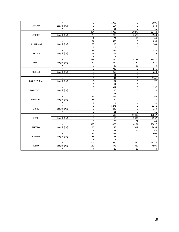|                 | ${\sf N}$    | $\mathbf 0$    | 1006 | $\mathbf 0$ | 1006  |
|-----------------|--------------|----------------|------|-------------|-------|
| LA PLATA        | Length (mi)  | 0              | 164  | $\mathbf 0$ | 164   |
|                 | n            | $\mathbf 0$    | 11   | $\Omega$    | 11    |
|                 | N            | 284            | 1903 | 30277       | 32464 |
| LARIMER         | Length (mi)  | 78             | 280  | 3575        | 3933  |
|                 | $\sf n$      | $\mathbf{1}$   | 24   | 19          | 44    |
|                 | $\mathsf{N}$ | 194            | 656  | $\mathbf 0$ | 850   |
| LAS ANIMAS      | Length (mi)  | 78             | 225  | $\mathbf 0$ | 303   |
|                 | n            | 3              | 8    | $\mathbf 0$ | 11    |
|                 | N            | 143            | 385  | 0           | 528   |
| LINCOLN         | Length (mi)  | 61             | 168  | $\mathbf 0$ | 229   |
|                 | $\sf n$      | 3              | 8    | $\mathbf 0$ | 11    |
|                 | ${\sf N}$    | 436            | 1250 | 15185       | 16871 |
| <b>MESA</b>     | Length (mi)  | 132            | 227  | 2172        | 2531  |
|                 | n            | 9              | 22   | 13          | 44    |
|                 | $\mathsf{N}$ | $\Omega$       | 946  | $\Omega$    | 946   |
| <b>MOFFAT</b>   | Length (mi)  | $\pmb{0}$      | 250  | 0           | 250   |
|                 | n            | 0              | 11   | 0           | 11    |
|                 | N            | 0              | 1141 | $\mathbf 0$ | 1141  |
| MONTEZUMA       | Length (mi)  | $\overline{0}$ | 177  | $\mathbf 0$ | 177   |
|                 | $\sf n$      | $\pmb{0}$      | 11   | $\mathbf 0$ | 11    |
|                 | N            | 0              | 937  | $\mathbf 0$ | 937   |
| <b>MONTROSE</b> | Length (mi)  | $\mathbf 0$    | 210  | $\mathbf 0$ | 210   |
|                 | n            | 0              | 11   | $\mathbf 0$ | 11    |
|                 | N            | 167            | 599  | $\mathbf 0$ | 766   |
| <b>MORGAN</b>   | Length (mi)  | 76             | 149  | 0           | 225   |
|                 | n            | 3              | 8    | $\mathbf 0$ | 11    |
|                 | N            | $\pmb{0}$      | 1271 | $\mathbf 0$ | 1271  |
| <b>OTERO</b>    | Length (mi)  | $\mathbf 0$    | 230  | $\mathbf 0$ | 230   |
|                 | $\sf n$      | $\pmb{0}$      | 11   | $\mathbf 0$ | 11    |
|                 | N            | 0              | 615  | 11412       | 12027 |
| PARK            | Length (mi)  | $\mathbf 0$    | 165  | 2402        | 2567  |
|                 | $\sf n$      | $\mathbf 0$    | 23   | 21          | 44    |
|                 | ${\sf N}$    | 438            | 1405 | 18184       | 20027 |
| PUEBLO          | Length (mi)  | 95             | 243  | 2317        | 2655  |
|                 | n            | $\overline{7}$ | 21   | 16          | 44    |
|                 | N            | 152            | 453  | $\mathbf 0$ | 605   |
| <b>SUMMIT</b>   | Length (mi)  | 48             | 81   | $\mathbf 0$ | 129   |
|                 | $\sf n$      | 3              | 8    | $\mathbf 0$ | 11    |
|                 | N            | 307            | 2040 | 23880       | 26227 |
| WELD            | Length (mi)  | 129            | 478  | 4389        | 4996  |
|                 | $\mathsf n$  | 4              | 25   | 15          | 44    |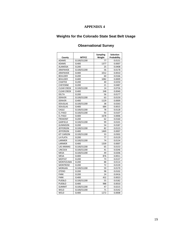### **Weights for the Colorado State Seat Belt Usage**

| County             | <b>MTFCC</b> | <b>Sampling</b><br>Weight | <b>Selection</b><br>Probability |
|--------------------|--------------|---------------------------|---------------------------------|
| <b>ADAMS</b>       | S1100/S1200  | 77                        | 0.0131                          |
| <b>ADAMS</b>       | S1400        | 1377                      | 0.0007                          |
| <b>ALAMOSA</b>     | S1200        | 25                        | 0.0408                          |
| ARAPAHOE           | S1100/S1200  | 56                        | 0.0178                          |
| ARAPAHOE           | S1400        | 1012                      | 0.0010                          |
| <b>BOULDER</b>     | S1200        | 60                        | 0.0166                          |
| <b>BOULDER</b>     | S1400        | 1082                      | 0.0009                          |
| <b>CHAFFEE</b>     | S1200        | 40                        | 0.0250                          |
| <b>CHEYENNE</b>    | S1200        | 21                        | 0.0487                          |
| <b>CLEAR CREEK</b> | S1100/S1200  | 14                        | 0.0726                          |
| <b>CLEAR CREEK</b> | S1400        | 248                       | 0.0040                          |
| <b>DELTA</b>       | S1200        | 56                        | 0.0177                          |
| <b>DENVER</b>      | S1100/S1200  | 63                        | 0.0159                          |
| <b>DENVER</b>      | S1400        | 1129                      | 0.0009                          |
| <b>DOUGLAS</b>     | S1100/S1200  | 38                        | 0.0263                          |
| <b>DOUGLAS</b>     | S1400        | 684                       | 0.0015                          |
| <b>EAGLE</b>       | S1100/S1200  | 78                        | 0.0128                          |
| EL PASO            | S1100/S1200  | 93                        | 0.0107                          |
| EL PASO            | S1400        | 1678                      | 0.0006                          |
| <b>FREMONT</b>     | S1200        | 62                        | 0.0160                          |
| GARFIELD           | S1100/S1200  | 99                        | 0.0101                          |
| <b>GUNNISON</b>    | S1200        | 54                        | 0.0187                          |
| <b>JEFFERSON</b>   | S1100/S1200  | 82                        | 0.0123                          |
| <b>JEFFERSON</b>   | S1400        | 1469                      | 0.0007                          |
| <b>KIT CARSON</b>  | S1100/S1200  | 33                        | 0.0302                          |
| LA PLATA           | S1200        | 77                        | 0.0129                          |
| LARIMER            | S1100/S1200  | 74                        | 0.0134                          |
| LARIMER            | S1400        | 1339                      | 0.0007                          |
| <b>LAS ANIMAS</b>  | S1100/S1200  | 65                        | 0.0153                          |
| LINCOLN            | S1100/S1200  | 41                        | 0.0246                          |
| <b>MESA</b>        | S1100/S1200  | 49                        | 0.0206                          |
| <b>MESA</b>        | S1400        | 876                       | 0.0011                          |
| <b>MOFFAT</b>      | S1200        | 73                        | 0.0137                          |
| MONTEZUMA          | S1200        | 88                        | 0.0114                          |
| <b>MONTROSE</b>    | S1200        | 72                        | 0.0139                          |
| <b>MORGAN</b>      | S1100/S1200  | 59                        | 0.0170                          |
| <b>OTERO</b>       | S1200        | 98                        | 0.0102                          |
| <b>PARK</b>        | S1200        | 24                        | 0.0416                          |
| <b>PARK</b>        | S1400        | 432                       | 0.0023                          |
| PUEBLO             | S1100/S1200  | 55                        | 0.0182                          |
| PUEBLO             | S1400        | 988                       | 0.0010                          |
| <b>SUMMIT</b>      | S1100/S1200  | 47                        | 0.0215                          |
| WELD               | S1100/S1200  | 71                        | 0.0142                          |
| WELD               | S1400        | 1272                      | 0.0008                          |

#### **Observational Survey**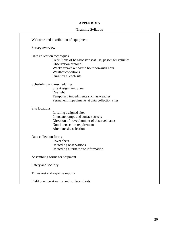#### **Training Syllabus**

| Welcome and distribution of equipment                                                                                                                                                                           |
|-----------------------------------------------------------------------------------------------------------------------------------------------------------------------------------------------------------------|
| Survey overview                                                                                                                                                                                                 |
| Data collection techniques<br>Definitions of belt/booster seat use, passenger vehicles<br>Observation protocol<br>Weekday/weekend/rush hour/non-rush hour<br><b>Weather conditions</b><br>Duration at each site |
| Scheduling and rescheduling<br><b>Site Assignment Sheet</b><br>Daylight<br>Temporary impediments such as weather<br>Permanent impediments at data collection sites                                              |
| Site locations<br>Locating assigned sites<br>Interstate ramps and surface streets<br>Direction of travel/number of observed lanes<br>Non-intersection requirement<br>Alternate site selection                   |
| Data collection forms<br>Cover sheet<br>Recording observations<br>Recording alternate site information                                                                                                          |
| Assembling forms for shipment                                                                                                                                                                                   |
| Safety and security                                                                                                                                                                                             |
| Timesheet and expense reports                                                                                                                                                                                   |
| Field practice at ramps and surface streets                                                                                                                                                                     |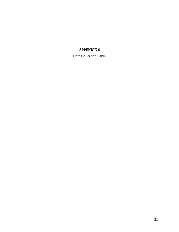**Data Collection Form**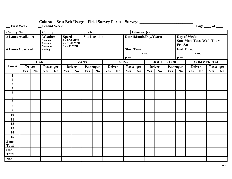| _First Week                                                              |     |                | __ Second Week  |                |                              |                                                                              |             |                |               |                        |             |                    |               |                |                                               |                |                          |                | Page ___ of ___   |                |
|--------------------------------------------------------------------------|-----|----------------|-----------------|----------------|------------------------------|------------------------------------------------------------------------------|-------------|----------------|---------------|------------------------|-------------|--------------------|---------------|----------------|-----------------------------------------------|----------------|--------------------------|----------------|-------------------|----------------|
| <b>County No.:</b>                                                       |     |                | <b>County:</b>  |                |                              | <b>Site No:</b><br>Observer(s):                                              |             |                |               |                        |             |                    |               |                |                                               |                |                          |                |                   |                |
| # Lanes Available:<br>Weather<br>$1 = clear$<br>$2 = rain$<br>$3 = snow$ |     |                |                 |                | <b>Speed</b><br>$3 = 50$ MPH | <b>Site Location:</b><br>$1 = 0.30 \text{ MPH}$<br>$2 = 31 - 50 \text{ MPH}$ |             |                |               | Date (Month/Day/Year): |             |                    |               | Fri Sat        | Day of Week:<br><b>Sun Mon Tues Wed Thurs</b> |                |                          |                |                   |                |
| # Lanes Observed:                                                        |     |                | $4 = f \circ g$ |                |                              |                                                                              |             |                |               |                        |             | <b>Start Time:</b> | a.m.          |                |                                               |                | <b>End Time:</b><br>a.m. |                |                   |                |
|                                                                          |     |                |                 |                |                              |                                                                              |             |                |               |                        | p.m.        |                    |               |                |                                               | p.m.           |                          |                |                   |                |
|                                                                          |     |                | <b>CARS</b>     |                |                              |                                                                              | <b>VANS</b> |                |               |                        | <b>SUVs</b> |                    |               |                | <b>LIGHT TRUCKS</b>                           |                |                          |                | <b>COMMERCIAL</b> |                |
| Line#                                                                    |     | <b>Driver</b>  | Passenger       |                | <b>Driver</b>                |                                                                              | Passenger   |                | <b>Driver</b> |                        |             | Passenger          | <b>Driver</b> |                |                                               | Passenger      | <b>Driver</b>            |                | Passenger         |                |
|                                                                          | Yes | N <sub>0</sub> | Yes             | N <sub>0</sub> | Yes                          | N <sub>0</sub>                                                               | Yes         | N <sub>o</sub> | Yes           | N <sub>0</sub>         | Yes         | N <sub>0</sub>     | Yes           | N <sub>0</sub> | Yes                                           | N <sub>0</sub> | Yes                      | N <sub>0</sub> | Yes               | N <sub>0</sub> |
| $\mathbf{1}$                                                             |     |                |                 |                |                              |                                                                              |             |                |               |                        |             |                    |               |                |                                               |                |                          |                |                   |                |
| $\overline{2}$                                                           |     |                |                 |                |                              |                                                                              |             |                |               |                        |             |                    |               |                |                                               |                |                          |                |                   |                |
| $\overline{\mathbf{3}}$                                                  |     |                |                 |                |                              |                                                                              |             |                |               |                        |             |                    |               |                |                                               |                |                          |                |                   |                |
| $\overline{\mathbf{4}}$                                                  |     |                |                 |                |                              |                                                                              |             |                |               |                        |             |                    |               |                |                                               |                |                          |                |                   |                |
| 5                                                                        |     |                |                 |                |                              |                                                                              |             |                |               |                        |             |                    |               |                |                                               |                |                          |                |                   |                |
| 6                                                                        |     |                |                 |                |                              |                                                                              |             |                |               |                        |             |                    |               |                |                                               |                |                          |                |                   |                |
| $\overline{7}$                                                           |     |                |                 |                |                              |                                                                              |             |                |               |                        |             |                    |               |                |                                               |                |                          |                |                   |                |
| 8                                                                        |     |                |                 |                |                              |                                                                              |             |                |               |                        |             |                    |               |                |                                               |                |                          |                |                   |                |
| $\boldsymbol{9}$                                                         |     |                |                 |                |                              |                                                                              |             |                |               |                        |             |                    |               |                |                                               |                |                          |                |                   |                |
| 10                                                                       |     |                |                 |                |                              |                                                                              |             |                |               |                        |             |                    |               |                |                                               |                |                          |                |                   |                |
| 11                                                                       |     |                |                 |                |                              |                                                                              |             |                |               |                        |             |                    |               |                |                                               |                |                          |                |                   |                |
| 12                                                                       |     |                |                 |                |                              |                                                                              |             |                |               |                        |             |                    |               |                |                                               |                |                          |                |                   |                |
| 13                                                                       |     |                |                 |                |                              |                                                                              |             |                |               |                        |             |                    |               |                |                                               |                |                          |                |                   |                |
| 14                                                                       |     |                |                 |                |                              |                                                                              |             |                |               |                        |             |                    |               |                |                                               |                |                          |                |                   |                |
| $\overline{15}$                                                          |     |                |                 |                |                              |                                                                              |             |                |               |                        |             |                    |               |                |                                               |                |                          |                |                   |                |
| Page<br>Total                                                            |     |                |                 |                |                              |                                                                              |             |                |               |                        |             |                    |               |                |                                               |                |                          |                |                   |                |
| <b>Site</b>                                                              |     |                |                 |                |                              |                                                                              |             |                |               |                        |             |                    |               |                |                                               |                |                          |                |                   |                |
| <b>Total</b>                                                             |     |                |                 |                |                              |                                                                              |             |                |               |                        |             |                    |               |                |                                               |                |                          |                |                   |                |
| Non-                                                                     |     |                |                 |                |                              |                                                                              |             |                |               |                        |             |                    |               |                |                                               |                |                          |                |                   |                |

### **Colorado Seat Belt Usage – Field Survey Form – Survey: \_\_\_\_\_\_\_\_\_\_\_\_\_\_\_\_\_\_\_\_\_\_\_\_\_\_**